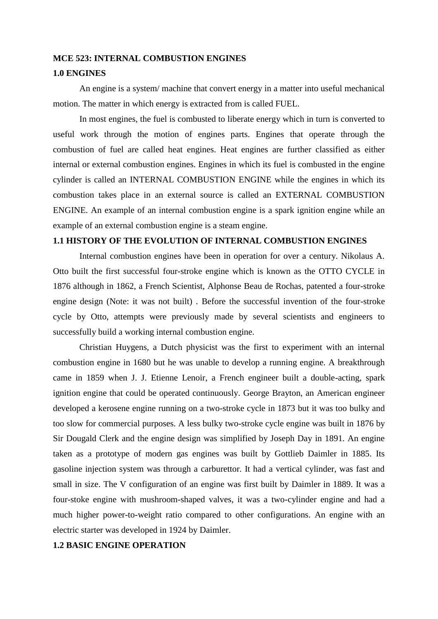#### **MCE 523: INTERNAL COMBUSTION ENGINES**

#### **1.0 ENGINES**

An engine is a system/ machine that convert energy in a matter into useful mechanical motion. The matter in which energy is extracted from is called FUEL.

In most engines, the fuel is combusted to liberate energy which in turn is converted to useful work through the motion of engines parts. Engines that operate through the combustion of fuel are called heat engines. Heat engines are further classified as either internal or external combustion engines. Engines in which its fuel is combusted in the engine cylinder is called an INTERNAL COMBUSTION ENGINE while the engines in which its combustion takes place in an external source is called an EXTERNAL COMBUSTION ENGINE. An example of an internal combustion engine is a spark ignition engine while an example of an external combustion engine is a steam engine.

#### **1.1 HISTORY OF THE EVOLUTION OF INTERNAL COMBUSTION ENGINES**

Internal combustion engines have been in operation for over a century. Nikolaus A. Otto built the first successful four-stroke engine which is known as the OTTO CYCLE in 1876 although in 1862, a French Scientist, Alphonse Beau de Rochas, patented a four-stroke engine design (Note: it was not built) . Before the successful invention of the four-stroke cycle by Otto, attempts were previously made by several scientists and engineers to successfully build a working internal combustion engine.

Christian Huygens, a Dutch physicist was the first to experiment with an internal combustion engine in 1680 but he was unable to develop a running engine. A breakthrough came in 1859 when J. J. Etienne Lenoir, a French engineer built a double-acting, spark ignition engine that could be operated continuously. George Brayton, an American engineer developed a kerosene engine running on a two-stroke cycle in 1873 but it was too bulky and too slow for commercial purposes. A less bulky two-stroke cycle engine was built in 1876 by Sir Dougald Clerk and the engine design was simplified by Joseph Day in 1891. An engine taken as a prototype of modern gas engines was built by Gottlieb Daimler in 1885. Its gasoline injection system was through a carburettor. It had a vertical cylinder, was fast and small in size. The V configuration of an engine was first built by Daimler in 1889. It was a four-stoke engine with mushroom-shaped valves, it was a two-cylinder engine and had a much higher power-to-weight ratio compared to other configurations. An engine with an electric starter was developed in 1924 by Daimler.

## **1.2 BASIC ENGINE OPERATION**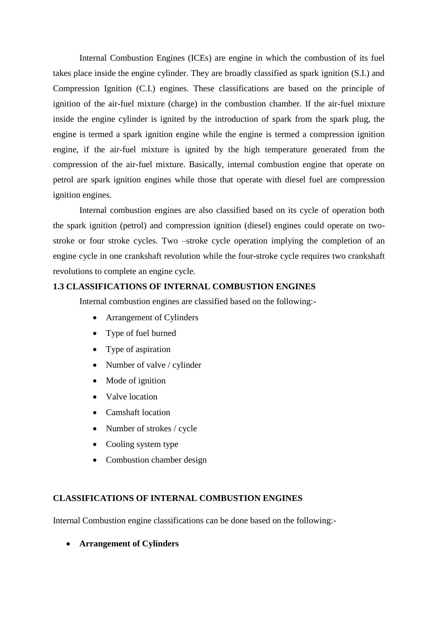Internal Combustion Engines (ICEs) are engine in which the combustion of its fuel takes place inside the engine cylinder. They are broadly classified as spark ignition (S.I.) and Compression Ignition (C.I.) engines. These classifications are based on the principle of ignition of the air-fuel mixture (charge) in the combustion chamber. If the air-fuel mixture inside the engine cylinder is ignited by the introduction of spark from the spark plug, the engine is termed a spark ignition engine while the engine is termed a compression ignition engine, if the air-fuel mixture is ignited by the high temperature generated from the compression of the air-fuel mixture. Basically, internal combustion engine that operate on petrol are spark ignition engines while those that operate with diesel fuel are compression ignition engines.

Internal combustion engines are also classified based on its cycle of operation both the spark ignition (petrol) and compression ignition (diesel) engines could operate on twostroke or four stroke cycles. Two –stroke cycle operation implying the completion of an engine cycle in one crankshaft revolution while the four-stroke cycle requires two crankshaft revolutions to complete an engine cycle.

# **1.3 CLASSIFICATIONS OF INTERNAL COMBUSTION ENGINES**

Internal combustion engines are classified based on the following:-

- Arrangement of Cylinders
- Type of fuel burned
- Type of aspiration
- Number of valve / cylinder
- Mode of ignition
- Valve location
- Camshaft location
- Number of strokes / cycle
- Cooling system type
- Combustion chamber design

### **CLASSIFICATIONS OF INTERNAL COMBUSTION ENGINES**

Internal Combustion engine classifications can be done based on the following:-

**Arrangement of Cylinders**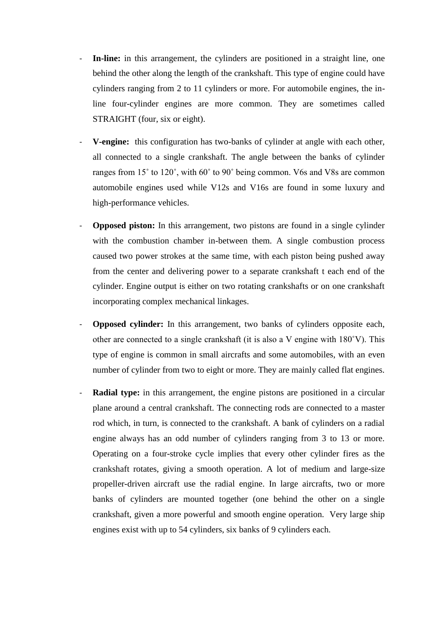- In-line: in this arrangement, the cylinders are positioned in a straight line, one behind the other along the length of the crankshaft. This type of engine could have cylinders ranging from 2 to 11 cylinders or more. For automobile engines, the inline four-cylinder engines are more common. They are sometimes called STRAIGHT (four, six or eight).
- **V-engine:** this configuration has two-banks of cylinder at angle with each other, all connected to a single crankshaft. The angle between the banks of cylinder ranges from 15˚ to 120˚, with 60˚ to 90˚ being common. V6s and V8s are common automobile engines used while V12s and V16s are found in some luxury and high-performance vehicles.
- **Opposed piston:** In this arrangement, two pistons are found in a single cylinder with the combustion chamber in-between them. A single combustion process caused two power strokes at the same time, with each piston being pushed away from the center and delivering power to a separate crankshaft t each end of the cylinder. Engine output is either on two rotating crankshafts or on one crankshaft incorporating complex mechanical linkages.
- **Opposed cylinder:** In this arrangement, two banks of cylinders opposite each, other are connected to a single crankshaft (it is also a V engine with 180˚V). This type of engine is common in small aircrafts and some automobiles, with an even number of cylinder from two to eight or more. They are mainly called flat engines.
- **Radial type:** in this arrangement, the engine pistons are positioned in a circular plane around a central crankshaft. The connecting rods are connected to a master rod which, in turn, is connected to the crankshaft. A bank of cylinders on a radial engine always has an odd number of cylinders ranging from 3 to 13 or more. Operating on a four-stroke cycle implies that every other cylinder fires as the crankshaft rotates, giving a smooth operation. A lot of medium and large-size propeller-driven aircraft use the radial engine. In large aircrafts, two or more banks of cylinders are mounted together (one behind the other on a single crankshaft, given a more powerful and smooth engine operation. Very large ship engines exist with up to 54 cylinders, six banks of 9 cylinders each.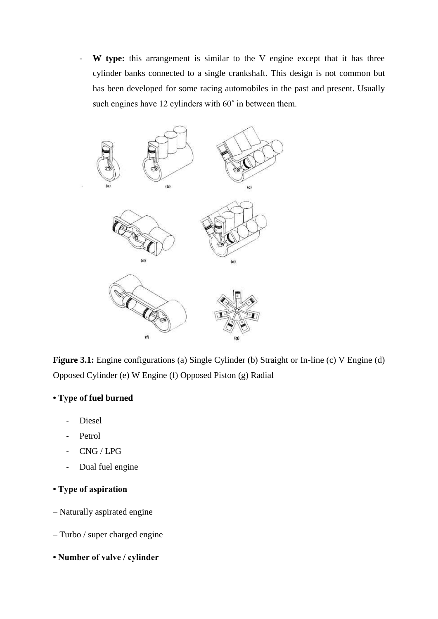- **W type:** this arrangement is similar to the V engine except that it has three cylinder banks connected to a single crankshaft. This design is not common but has been developed for some racing automobiles in the past and present. Usually such engines have 12 cylinders with 60˚ in between them.



**Figure 3.1:** Engine configurations (a) Single Cylinder (b) Straight or In-line (c) V Engine (d) Opposed Cylinder (e) W Engine (f) Opposed Piston (g) Radial

# **• Type of fuel burned**

- Diesel
- Petrol
- CNG / LPG
- Dual fuel engine
- **Type of aspiration**
- Naturally aspirated engine
- Turbo / super charged engine
- **Number of valve / cylinder**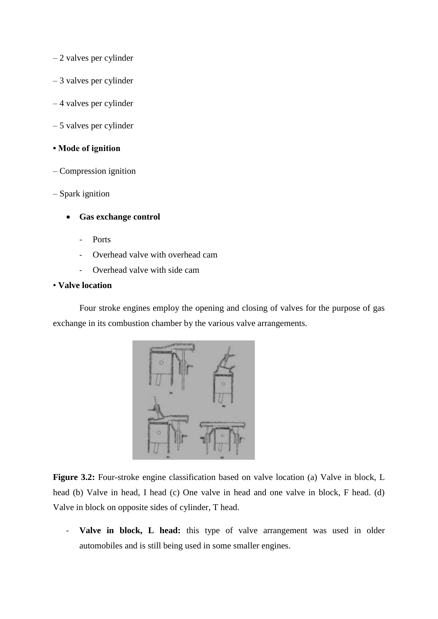- 2 valves per cylinder
- 3 valves per cylinder
- 4 valves per cylinder
- 5 valves per cylinder

### **• Mode of ignition**

- Compression ignition
- Spark ignition
	- **Gas exchange control**
		- Ports
		- Overhead valve with overhead cam
		- Overhead valve with side cam

### • **Valve location**

Four stroke engines employ the opening and closing of valves for the purpose of gas exchange in its combustion chamber by the various valve arrangements.



**Figure 3.2:** Four-stroke engine classification based on valve location (a) Valve in block, L head (b) Valve in head, I head (c) One valve in head and one valve in block, F head. (d) Valve in block on opposite sides of cylinder, T head.

- **Valve in block, L head:** this type of valve arrangement was used in older automobiles and is still being used in some smaller engines.